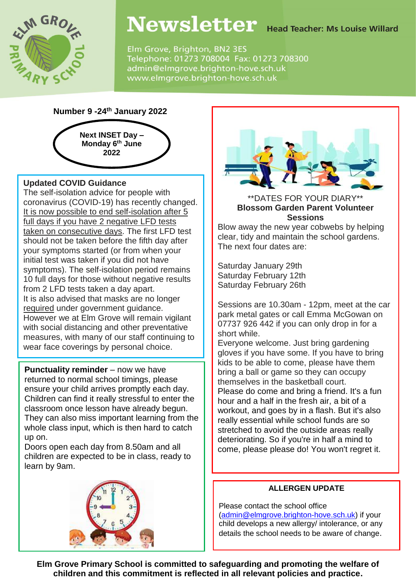

## Newsletter Head Teacher: Ms Louise Willard

Elm Grove, Brighton, BN2 3ES Telephone: 01273 708004 Fax: 01273 708300 admin@elmgrove.brighton-hove.sch.uk www.elmgrove.brighton-hove.sch.uk

### **Number 9 -24th January 2022**



### . **Updated COVID Guidance**

 wear face coverings by personal choice. The self-isolation advice for people with coronavirus (COVID-19) has recently changed. It is now possible to end self-isolation after 5 full days if you have 2 negative LFD tests taken on consecutive days. The first LFD test should not be taken before the fifth day after your symptoms started (or from when your initial test was taken if you did not have symptoms). The self-isolation period remains 10 full days for those without negative results from 2 LFD tests taken a day apart. It is also advised that masks are no longer required under government guidance. However we at Elm Grove will remain vigilant with social distancing and other preventative measures, with many of our staff continuing to

**Punctuality reminder** – now we have returned to normal school timings, please ensure your child arrives promptly each day. Children can find it really stressful to enter the classroom once lesson have already begun. They can also miss important learning from the whole class input, which is then hard to catch up on.

Doors open each day from 8.50am and all children are expected to be in class, ready to learn by 9am.





#### \*\*DATES FOR YOUR DIARY\*\* **Blossom Garden Parent Volunteer Sessions**

Blow away the new year cobwebs by helping clear, tidy and maintain the school gardens. The next four dates are:

 Saturday January 29th Saturday February 12th Saturday February 26th

Sessions are 10.30am - 12pm, meet at the car park metal gates or call Emma McGowan on 07737 926 442 if you can only drop in for a short while.

Everyone welcome. Just bring gardening gloves if you have some. If you have to bring kids to be able to come, please have them bring a ball or game so they can occupy themselves in the basketball court. Please do come and bring a friend. It's a fun hour and a half in the fresh air, a bit of a workout, and goes by in a flash. But it's also really essential while school funds are so stretched to avoid the outside areas really deteriorating. So if you're in half a mind to come, please please do! You won't regret it.

### **ALLERGEN UPDATE**

Please contact the school office [\(admin@elmgrove.brighton-hove.sch.uk\)](mailto:admin@elmgrove.brighton-hove.sch.uk) if your child develops a new allergy/ intolerance, or any details the school needs to be aware of change.

**Elm Grove Primary School is committed to safeguarding and promoting the welfare of children and this commitment is reflected in all relevant policies and practice.**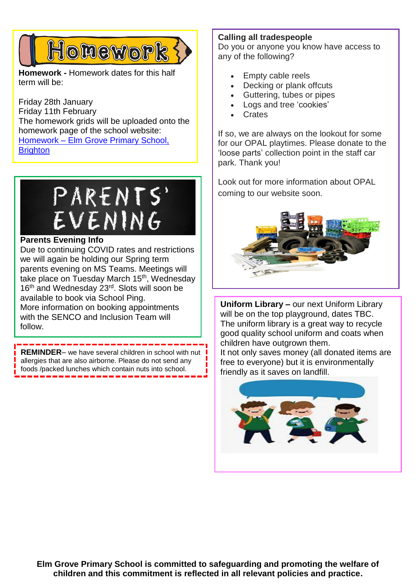# Honework

**Homework -** Homework dates for this half term will be:

Friday 28th January Friday 11th February The homework grids will be uploaded onto the homework page of the school website: Homework – [Elm Grove Primary School,](https://www.elmgrove.brighton-hove.sch.uk/year-groups/homework/)  **[Brighton](https://www.elmgrove.brighton-hove.sch.uk/year-groups/homework/)** 



### **Parents Evening Info**

Due to continuing COVID rates and restrictions we will again be holding our Spring term parents evening on MS Teams. Meetings will take place on Tuesday March 15<sup>th</sup>, Wednesday 16<sup>th</sup> and Wednesday 23<sup>rd</sup>. Slots will soon be available to book via School Ping. More information on booking appointments with the SENCO and Inclusion Team will follow.

**REMINDER**– we have several children in school with nut allergies that are also airborne. Please do not send any foods /packed lunches which contain nuts into school.

**Calling all tradespeople**

Do you or anyone you know have access to any of the following?

- Empty cable reels
- Decking or plank offcuts
- Guttering, tubes or pipes
- Logs and tree 'cookies'
- **Crates**

If so, we are always on the lookout for some for our OPAL playtimes. Please donate to the 'loose parts' collection point in the staff car park. Thank you!

Look out for more information about OPAL coming to our website soon.



**Uniform Library –** our next Uniform Library will be on the top playground, dates TBC. The uniform library is a great way to recycle good quality school uniform and coats when children have outgrown them.

It not only saves money (all donated items are free to everyone) but it is environmentally friendly as it saves on landfill.